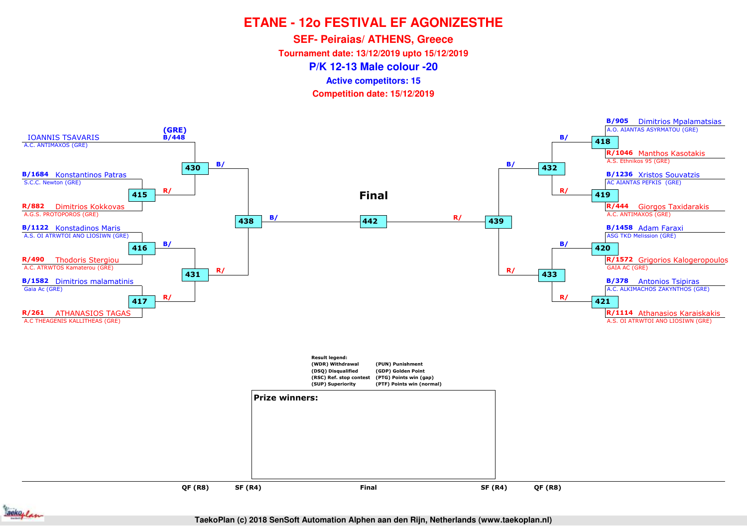**SEF- Peiraias/ ATHENS, Greece**

**Tournament date: 13/12/2019 upto 15/12/2019**

**P/K 12-13 Male colour -20**

**Active competitors: 15**

**Competition date: 15/12/2019**



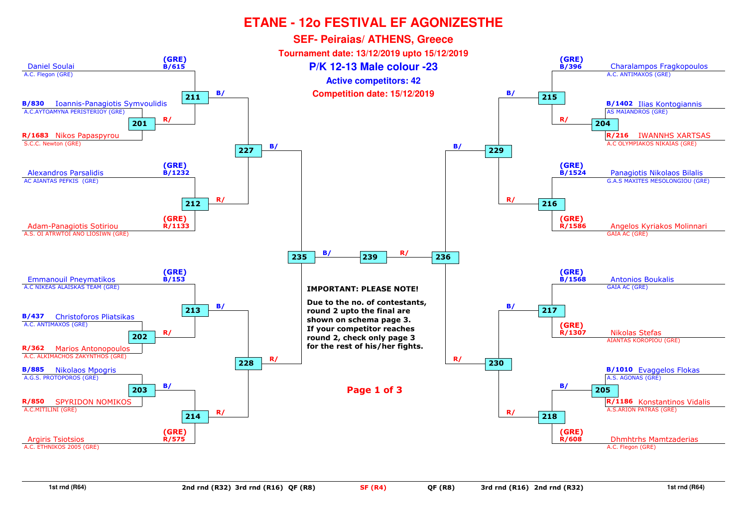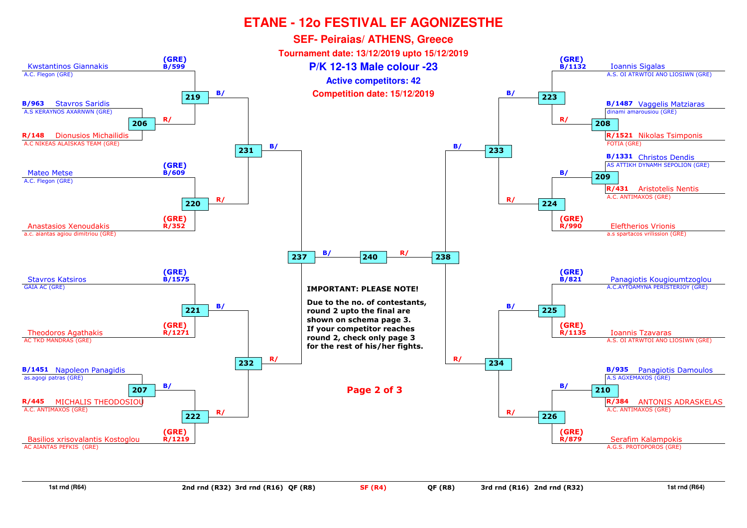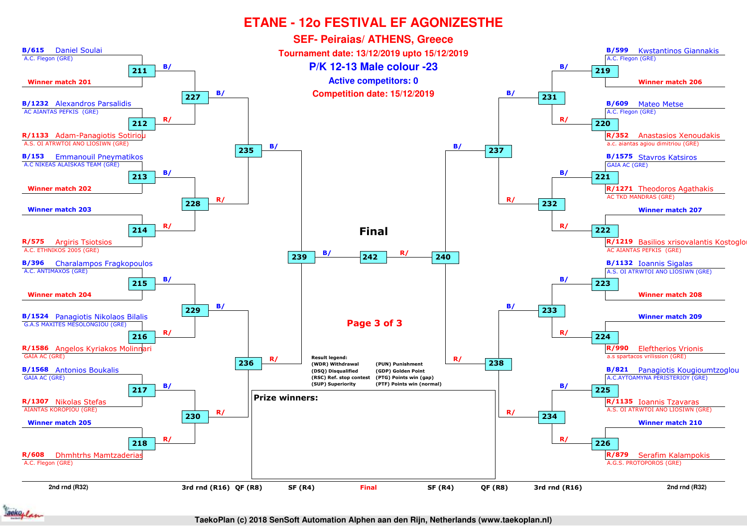

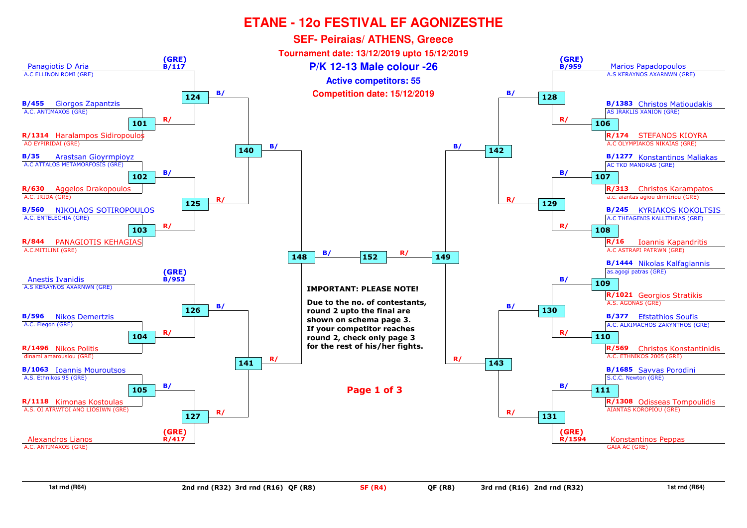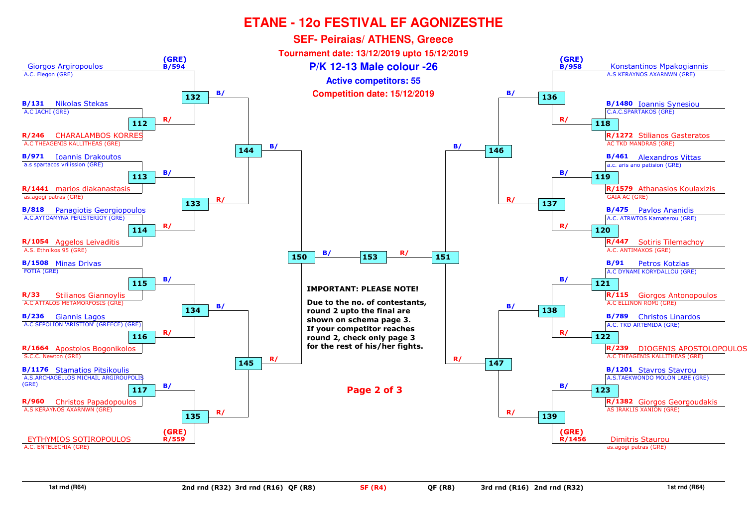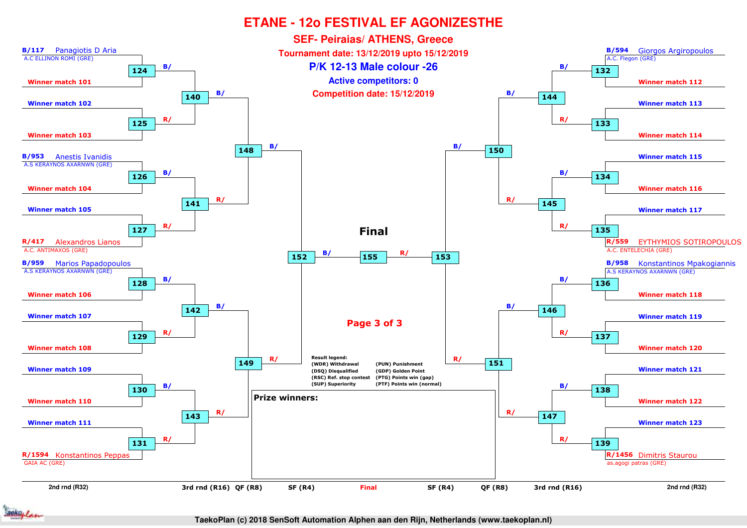

ackoflan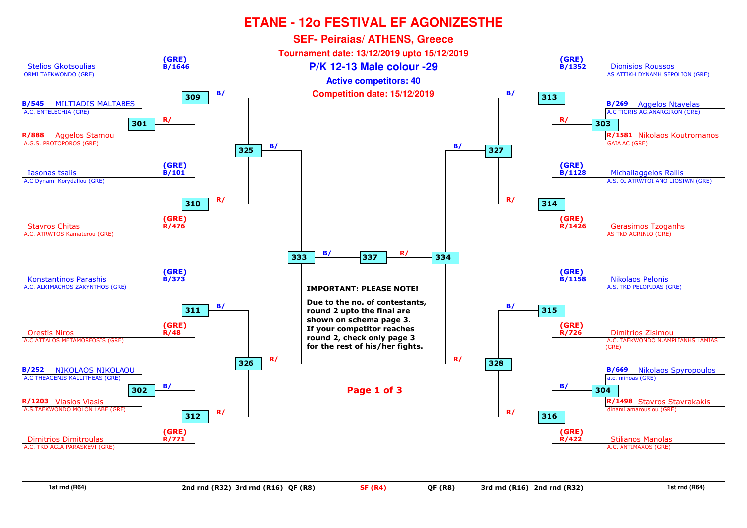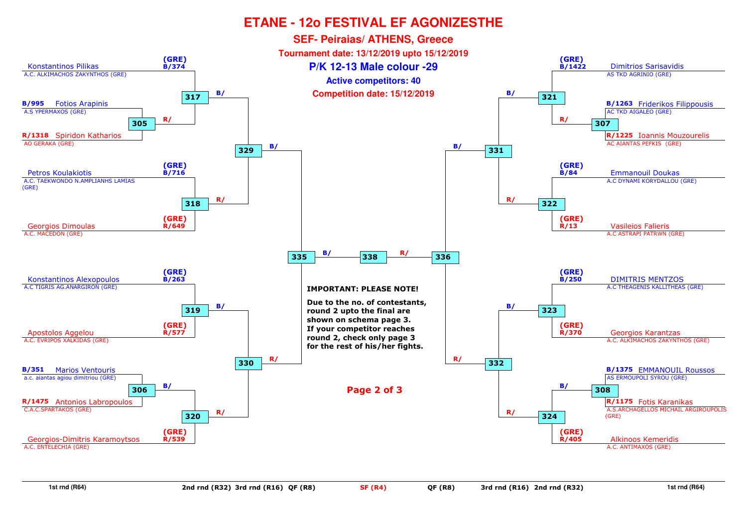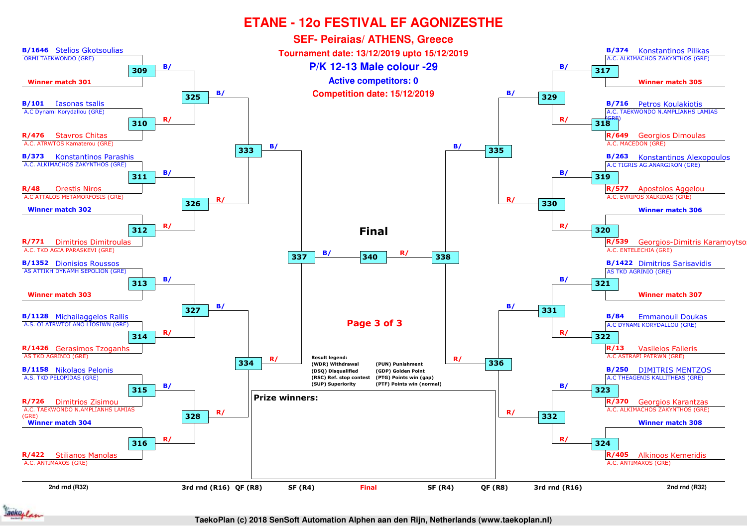

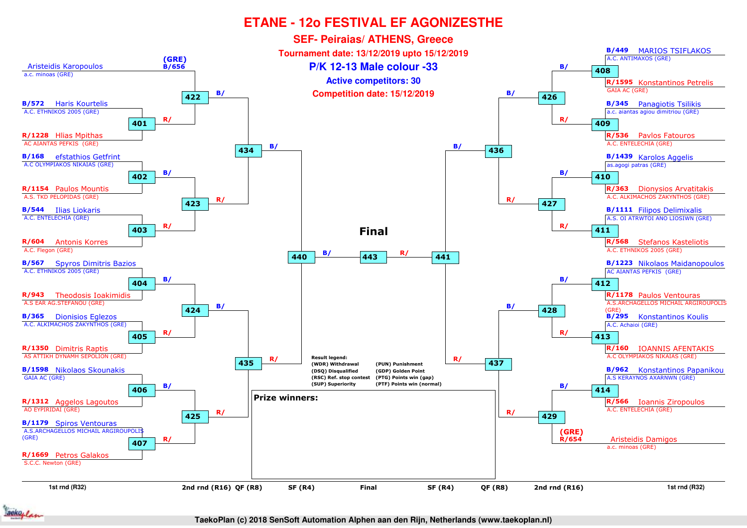

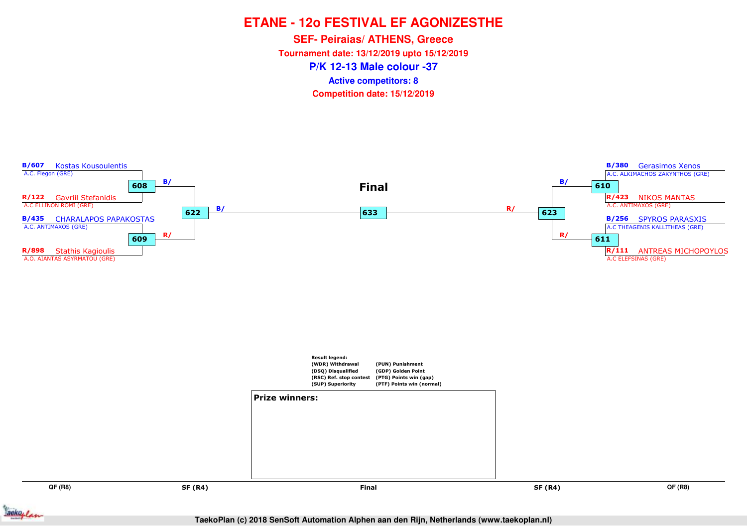**P/K 12-13 Male colour -37SEF- Peiraias/ ATHENS, Greece Tournament date: 13/12/2019 upto 15/12/2019Competition date: 15/12/2019 Active competitors: 8**



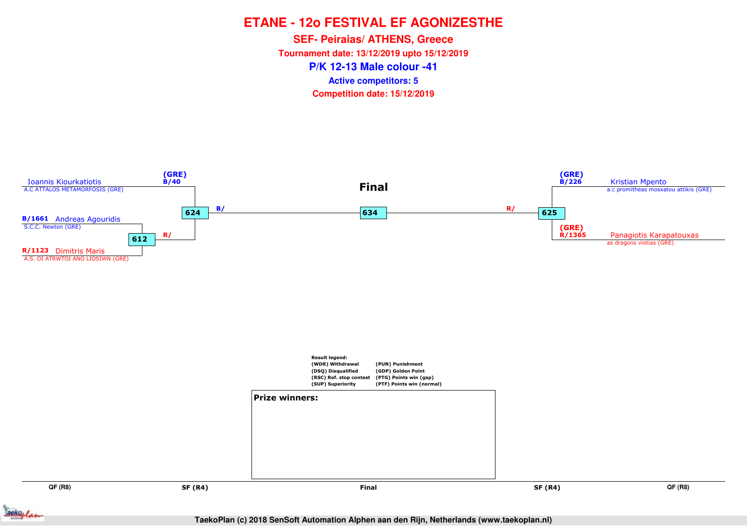**P/K 12-13 Male colour -41SEF- Peiraias/ ATHENS, Greece Tournament date: 13/12/2019 upto 15/12/2019Competition date: 15/12/2019 Active competitors: 5**

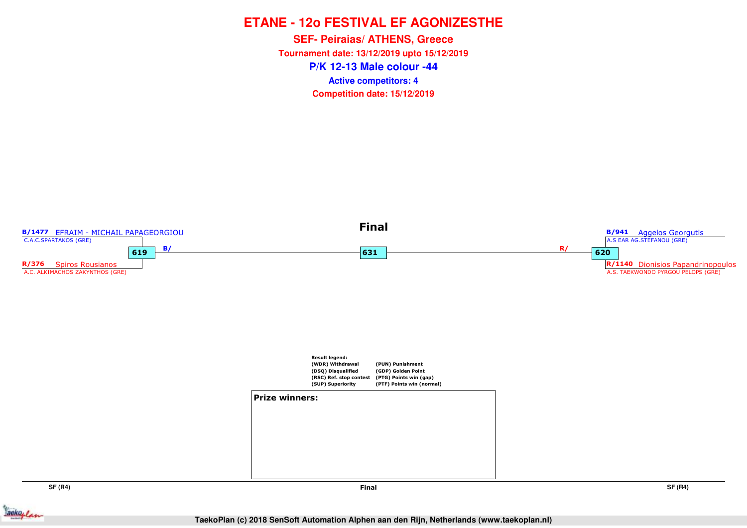**P/K 12-13 Male colour -44SEF- Peiraias/ ATHENS, Greece Tournament date: 13/12/2019 upto 15/12/2019Competition date: 15/12/2019 Active competitors: 4**



**SF (R4)**

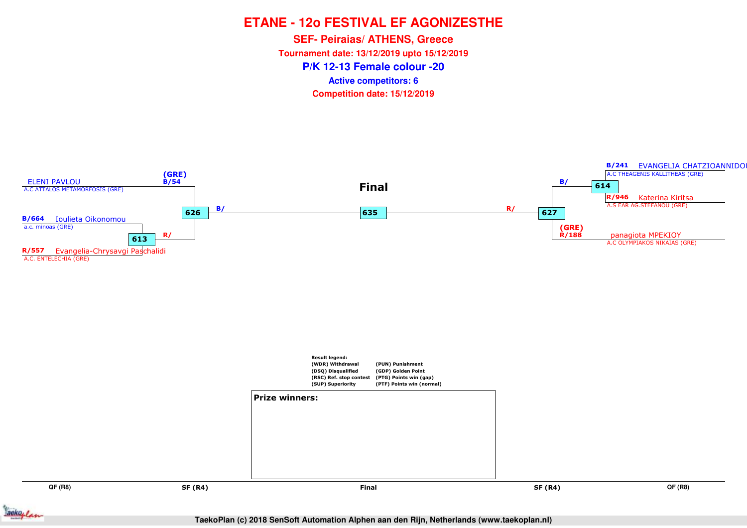**P/K 12-13 Female colour -20SEF- Peiraias/ ATHENS, Greece Tournament date: 13/12/2019 upto 15/12/2019Competition date: 15/12/2019 Active competitors: 6**



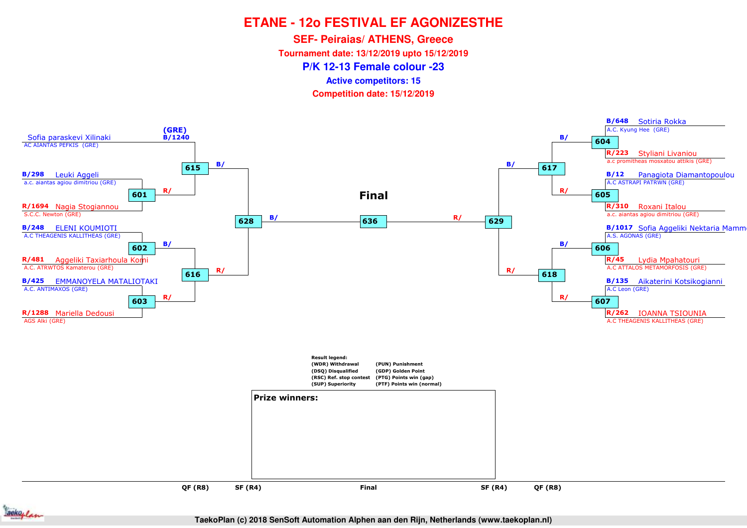**SEF- Peiraias/ ATHENS, Greece**

**Tournament date: 13/12/2019 upto 15/12/2019**

**P/K 12-13 Female colour -23**

**Active competitors: 15**

**Competition date: 15/12/2019**



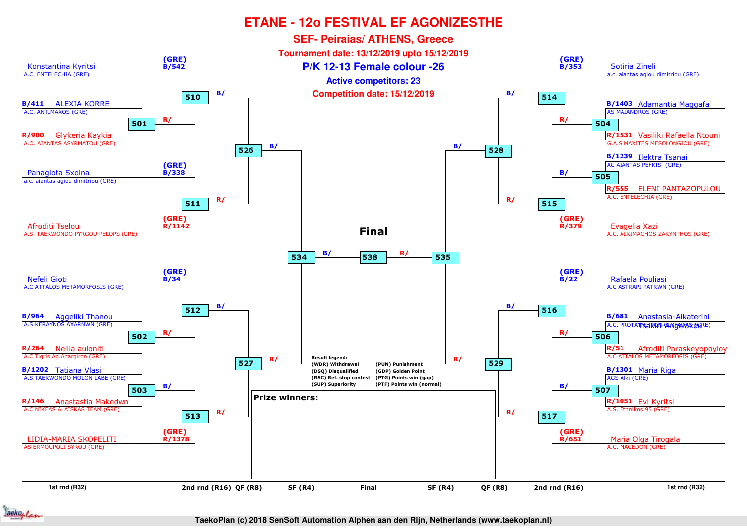

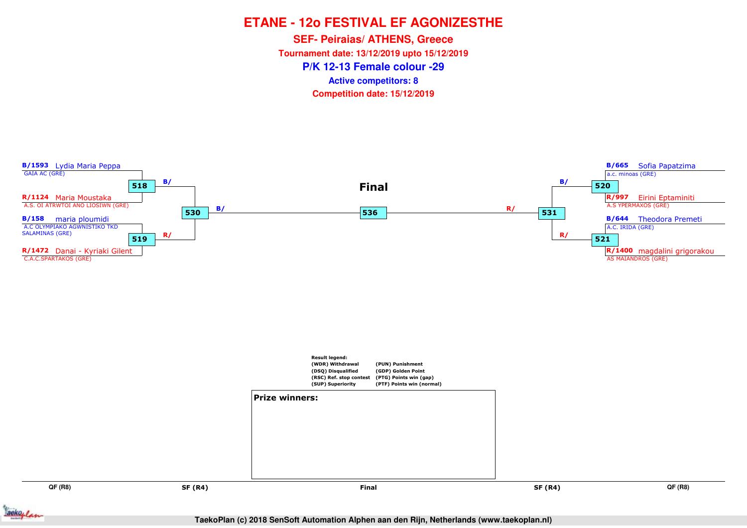**P/K 12-13 Female colour -29SEF- Peiraias/ ATHENS, Greece Tournament date: 13/12/2019 upto 15/12/2019Competition date: 15/12/2019 Active competitors: 8**



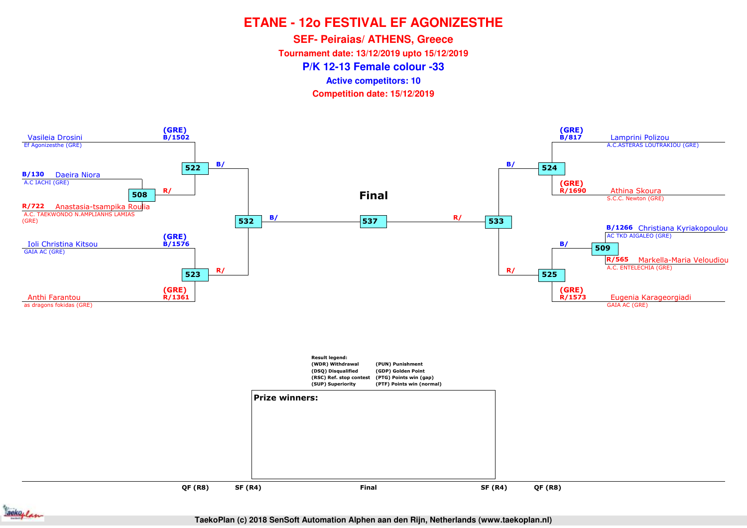**SEF- Peiraias/ ATHENS, Greece**

**Tournament date: 13/12/2019 upto 15/12/2019**

**P/K 12-13 Female colour -33**

**Active competitors: 10**

**Competition date: 15/12/2019**



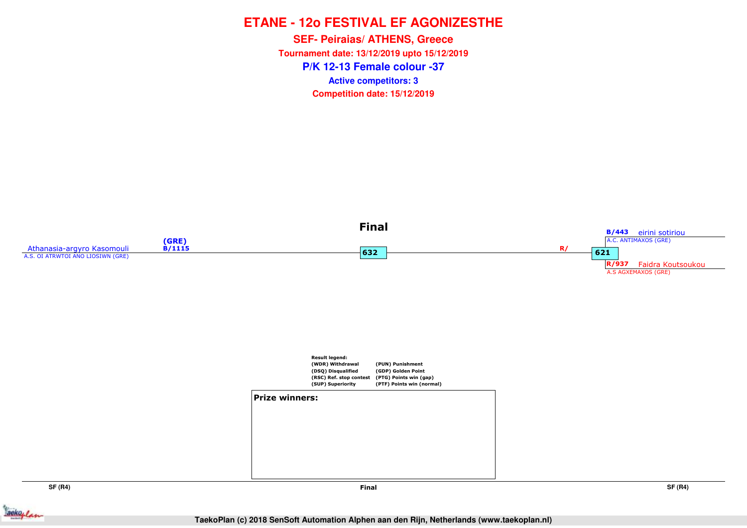**P/K 12-13 Female colour -37SEF- Peiraias/ ATHENS, Greece Tournament date: 13/12/2019 upto 15/12/2019Competition date: 15/12/2019 Active competitors: 3**



**SF (R4)**